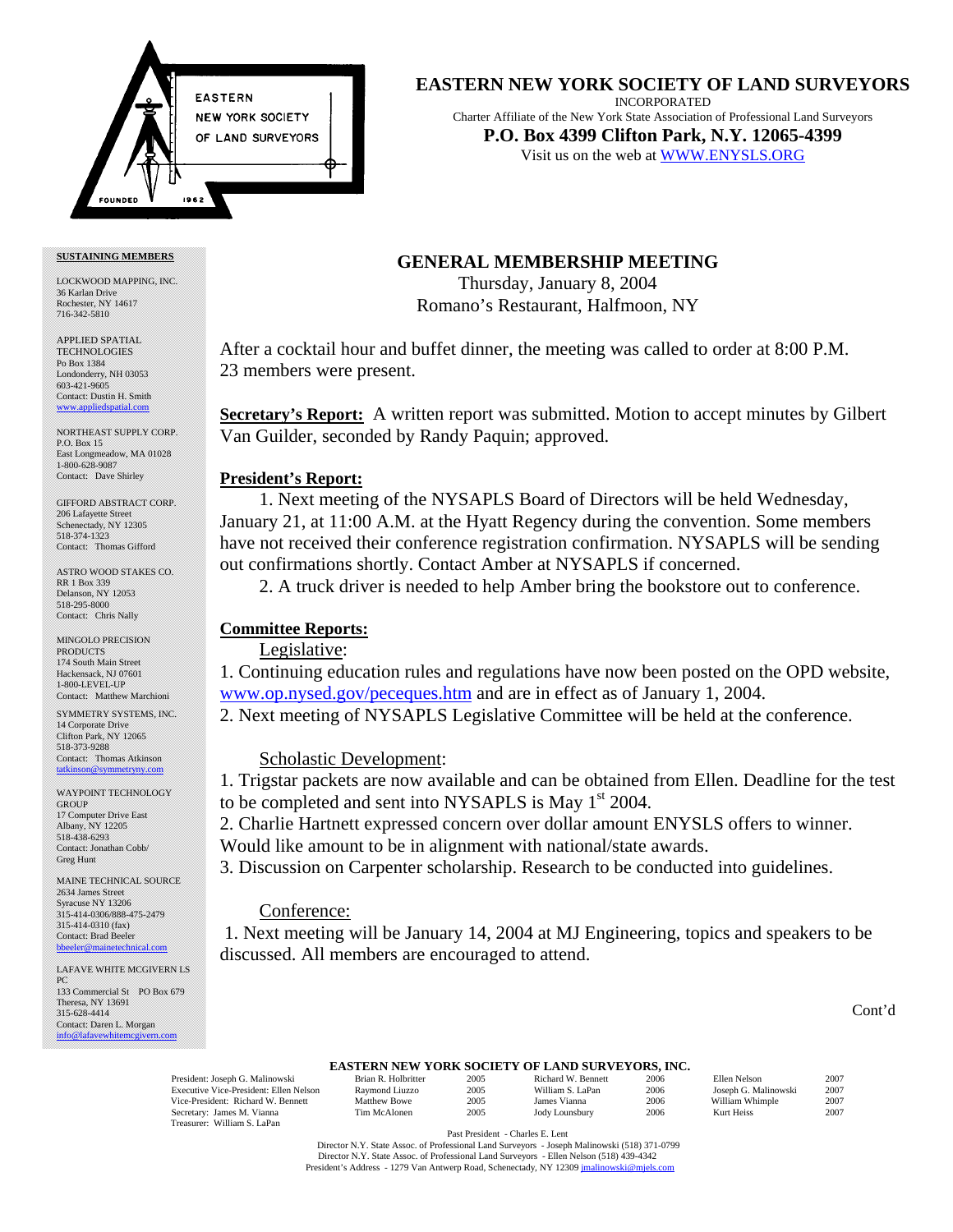

# **EASTERN NEW YORK SOCIETY OF LAND SURVEYORS**

INCORPORATED Charter Affiliate of the New York State Association of Professional Land Surveyors **P.O. Box 4399 Clifton Park, N.Y. 12065-4399**  Visit us on the web at <WWW.ENYSLS.ORG>

#### **SUSTAINING MEMBERS**

LOCKWOOD MAPPING, INC. 36 Karlan Drive Rochester, NY 14617 716-342-5810

APPLIED SPATIAL **TECHNOLOGIES** Po Box 1384 Londonderry, NH 03053 603-421-9605 Contact: Dustin H. Smith <www.appliedspatial.com>

NORTHEAST SUPPLY CORP. P.O. Box 15 East Longmeadow, MA 01028 1-800-628-9087 Contact: Dave Shirley

GIFFORD ABSTRACT CORP. 206 Lafayette Street Schenectady, NY 12305 518-374-1323 Contact: Thomas Gifford

ASTRO WOOD STAKES CO. RR 1 Box 339 Delanson, NY 12053 518-295-8000 Contact: Chris Nally

MINGOLO PRECISION **PRODUCTS** 174 South Main Street Hackensack, NJ 07601 1-800-LEVEL-UP Contact: Matthew Marchioni

SYMMETRY SYSTEMS, INC. 14 Corporate Drive Clifton Park, NY 12065 518-373-9288 Contact: Thomas Atkinson<br>tatkinson@symmetryny.com tetryny com

WAYPOINT TECHNOLOGY GROUP 17 Computer Drive East Albany, NY 12205 518-438-6293 Contact: Jonathan Cobb/ Greg Hunt

MAINE TECHNICAL SOURCE 2634 James Street Syracuse NY 13206 315-414-0306/888-475-2479 315-414-0310 (fax) Contact: Brad Beeler bbeeler@mainetechni

LAFAVE WHITE MCGIVERN LS PC 133 Commercial St PO Box 679 Theresa, NY 13691 315-628-4414 Contact: Daren L. Morgan [info@lafavewhitemcgivern.com](MAILTO:info@lafavewhitemcgivern.com)

**GENERAL MEMBERSHIP MEETING** 

Thursday, January 8, 2004 Romano's Restaurant, Halfmoon, NY

After a cocktail hour and buffet dinner, the meeting was called to order at 8:00 P.M. 23 members were present.

**Secretary's Report:** A written report was submitted. Motion to accept minutes by Gilbert Van Guilder, seconded by Randy Paquin; approved.

## **President's Report:**

1. Next meeting of the NYSAPLS Board of Directors will be held Wednesday, January 21, at 11:00 A.M. at the Hyatt Regency during the convention. Some members have not received their conference registration confirmation. NYSAPLS will be sending out confirmations shortly. Contact Amber at NYSAPLS if concerned.

2. A truck driver is needed to help Amber bring the bookstore out to conference.

# **Committee Reports:**

# Legislative:

1. Continuing education rules and regulations have now been posted on the OPD website, <www.op.nysed.gov/peceques.htm>and are in effect as of January 1, 2004. 2. Next meeting of NYSAPLS Legislative Committee will be held at the conference.

# Scholastic Development:

1. Trigstar packets are now available and can be obtained from Ellen. Deadline for the test to be completed and sent into NYSAPLS is May  $1<sup>st</sup>$  2004.

2. Charlie Hartnett expressed concern over dollar amount ENYSLS offers to winner.

Would like amount to be in alignment with national/state awards.

3. Discussion on Carpenter scholarship. Research to be conducted into guidelines.

# Conference:

 1. Next meeting will be January 14, 2004 at MJ Engineering, topics and speakers to be discussed. All members are encouraged to attend.

## Cont'd

# **EASTERN NEW YORK SOCIETY OF LAND SURVEYORS, INC.**<br>Brian R. Holbritter 2005 Richard W. Bennett 2006

Executive Vice-President: Ellen Nelson Raymond Liuzzo 2005 William S. LaPan 2006 Joseph G. Malinowski 2007<br>1990 Vice-President: Richard W. Bennett Matthew Bowe 2005 James Vianna 2006 William Whimple Vice-President: Richard W. Bennett Matthew Bowe 2005 James Vianna 2006 William Whimple 2007<br>
Secretary: James M. Vianna Tim McAlonen 2005 Jody Lounsbury 2006 Kurt Heiss 2007 Secretary: James M. Viann Treasurer: William S. LaPan

| Brian R. Holb      |
|--------------------|
| Raymond Liu        |
| <b>Matthew Bow</b> |
| Tim McAlone        |

President: Joseph G. Malinowski Brian R. Holbritter 2005 Richard W. Bennett 2006 Ellen Nelson 2007

Past President - Charles E. Lent

 Director N.Y. State Assoc. of Professional Land Surveyors - Joseph Malinowski (518) 371-0799 Director N.Y. State Assoc. of Professional Land Surveyors - Ellen Nelson (518) 439-4342 President's Address - 1279 Van Antwerp Road, Schenectady, NY 1230[9 jmalinowski@mjels.com](MAILTO:jmalinowski@mjels.com)